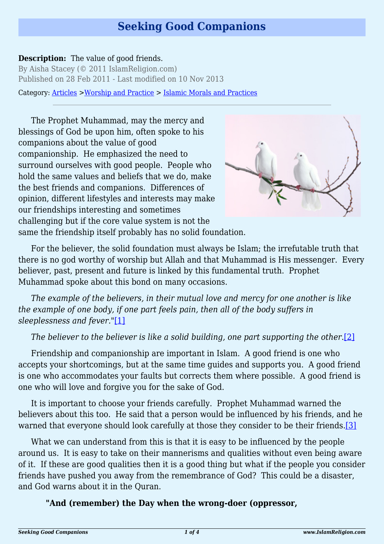# **Seeking Good Companions**

#### **Description:** The value of good friends.

By Aisha Stacey (© 2011 IslamReligion.com) Published on 28 Feb 2011 - Last modified on 10 Nov 2013

Category: [Articles](http://www.islamreligion.com/articles/) >[Worship and Practice](http://www.islamreligion.com/category/55/) > [Islamic Morals and Practices](http://www.islamreligion.com/category/58/)

The Prophet Muhammad, may the mercy and blessings of God be upon him, often spoke to his companions about the value of good companionship. He emphasized the need to surround ourselves with good people. People who hold the same values and beliefs that we do, make the best friends and companions. Differences of opinion, different lifestyles and interests may make our friendships interesting and sometimes challenging but if the core value system is not the same the friendship itself probably has no solid foundation.



For the believer, the solid foundation must always be Islam; the irrefutable truth that there is no god worthy of worship but Allah and that Muhammad is His messenger. Every believer, past, present and future is linked by this fundamental truth. Prophet Muhammad spoke about this bond on many occasions.

<span id="page-0-0"></span>*The example of the believers, in their mutual love and mercy for one another is like the example of one body, if one part feels pain, then all of the body suffers in sleeplessness and fever."*[\[1\]](#page-2-0)

## *The believer to the believer is like a solid building, one part supporting the other.*[\[2\]](#page-2-1)

<span id="page-0-1"></span>Friendship and companionship are important in Islam. A good friend is one who accepts your shortcomings, but at the same time guides and supports you. A good friend is one who accommodates your faults but corrects them where possible. A good friend is one who will love and forgive you for the sake of God.

It is important to choose your friends carefully. Prophet Muhammad warned the believers about this too. He said that a person would be influenced by his friends, and he warned that everyone should look carefully at those they consider to be their friends.[\[3\]](#page-2-2)

<span id="page-0-2"></span>What we can understand from this is that it is easy to be influenced by the people around us. It is easy to take on their mannerisms and qualities without even being aware of it. If these are good qualities then it is a good thing but what if the people you consider friends have pushed you away from the remembrance of God? This could be a disaster, and God warns about it in the Quran.

#### **"And (remember) the Day when the wrong-doer (oppressor,**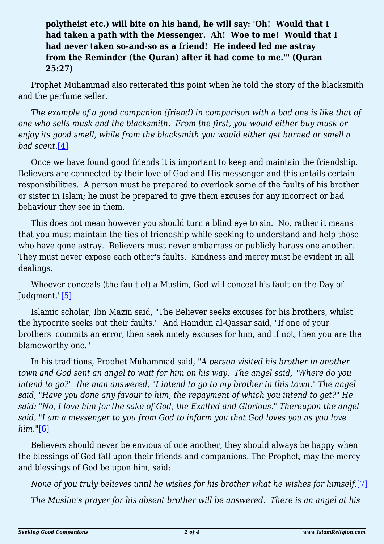# **polytheist etc.) will bite on his hand, he will say: 'Oh! Would that I had taken a path with the Messenger. Ah! Woe to me! Would that I had never taken so-and-so as a friend! He indeed led me astray from the Reminder (the Quran) after it had come to me.'" (Quran 25:27)**

Prophet Muhammad also reiterated this point when he told the story of the blacksmith and the perfume seller.

*The example of a good companion (friend) in comparison with a bad one is like that of one who sells musk and the blacksmith. From the first, you would either buy musk or enjoy its good smell, while from the blacksmith you would either get burned or smell a bad scent.*[\[4\]](#page-2-3)

<span id="page-1-0"></span>Once we have found good friends it is important to keep and maintain the friendship. Believers are connected by their love of God and His messenger and this entails certain responsibilities. A person must be prepared to overlook some of the faults of his brother or sister in Islam; he must be prepared to give them excuses for any incorrect or bad behaviour they see in them.

This does not mean however you should turn a blind eye to sin. No, rather it means that you must maintain the ties of friendship while seeking to understand and help those who have gone astray. Believers must never embarrass or publicly harass one another. They must never expose each other's faults. Kindness and mercy must be evident in all dealings.

<span id="page-1-1"></span>Whoever conceals (the fault of) a Muslim, God will conceal his fault on the Day of Judgment."[\[5\]](#page-2-4)

Islamic scholar, Ibn Mazin said, "The Believer seeks excuses for his brothers, whilst the hypocrite seeks out their faults." And Hamdun al-Qassar said, "If one of your brothers' commits an error, then seek ninety excuses for him, and if not, then you are the blameworthy one."

In his traditions, Prophet Muhammad said, "*A person visited his brother in another town and God sent an angel to wait for him on his way. The angel said, "Where do you intend to go?" the man answered, "I intend to go to my brother in this town." The angel said, "Have you done any favour to him, the repayment of which you intend to get?" He said: "No, I love him for the sake of God, the Exalted and Glorious." Thereupon the angel said, "I am a messenger to you from God to inform you that God loves you as you love him."*[\[6\]](#page-2-5)

<span id="page-1-2"></span>Believers should never be envious of one another, they should always be happy when the blessings of God fall upon their friends and companions. The Prophet, may the mercy and blessings of God be upon him, said:

<span id="page-1-3"></span>*None of you truly believes until he wishes for his brother what he wishes for himself.*[\[7\]](#page-2-6)

*The Muslim's prayer for his absent brother will be answered. There is an angel at his*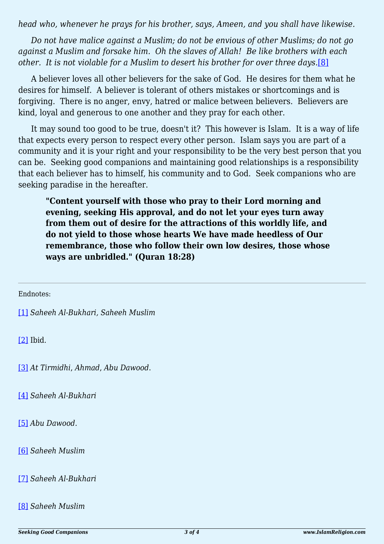*head who, whenever he prays for his brother, says, Ameen, and you shall have likewise.*

*Do not have malice against a Muslim; do not be envious of other Muslims; do not go against a Muslim and forsake him. Oh the slaves of Allah! Be like brothers with each other. It is not violable for a Muslim to desert his brother for over three days.*[\[8\]](#page-2-7)

<span id="page-2-8"></span>A believer loves all other believers for the sake of God. He desires for them what he desires for himself. A believer is tolerant of others mistakes or shortcomings and is forgiving. There is no anger, envy, hatred or malice between believers. Believers are kind, loyal and generous to one another and they pray for each other.

It may sound too good to be true, doesn't it? This however is Islam. It is a way of life that expects every person to respect every other person. Islam says you are part of a community and it is your right and your responsibility to be the very best person that you can be. Seeking good companions and maintaining good relationships is a responsibility that each believer has to himself, his community and to God. Seek companions who are seeking paradise in the hereafter.

**"Content yourself with those who pray to their Lord morning and evening, seeking His approval, and do not let your eyes turn away from them out of desire for the attractions of this worldly life, and do not yield to those whose hearts We have made heedless of Our remembrance, those who follow their own low desires, those whose ways are unbridled." (Quran 18:28)**

<span id="page-2-0"></span>Endnotes:

[\[1\]](#page-0-0) *Saheeh Al-Bukhari, Saheeh Muslim*

<span id="page-2-1"></span>[\[2\]](#page-0-1) Ibid.

<span id="page-2-2"></span>[\[3\]](#page-0-2) *At Tirmidhi*, *Ahmad*, *Abu Dawood*.

<span id="page-2-3"></span>[\[4\]](#page-1-0) *Saheeh Al-Bukhari*

<span id="page-2-4"></span>[\[5\]](#page-1-1) *Abu Dawood.*

<span id="page-2-5"></span>[\[6\]](#page-1-2) *Saheeh Muslim*

<span id="page-2-6"></span>[\[7\]](#page-1-3) *Saheeh Al-Bukhari*

<span id="page-2-7"></span>[\[8\]](#page-2-8) *Saheeh Muslim*